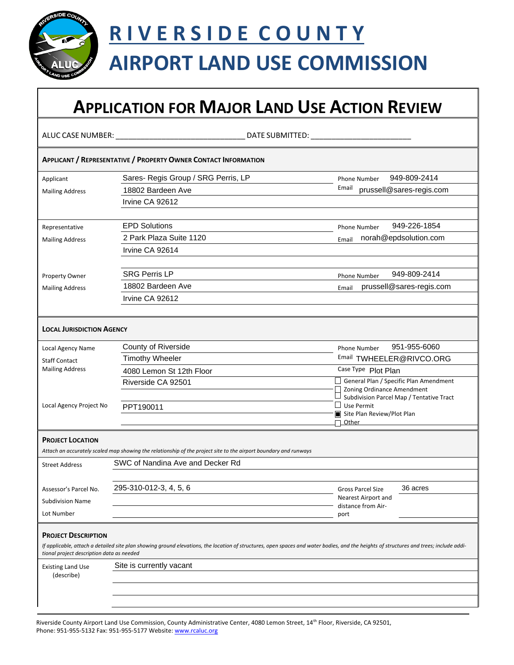

# **R I V E R S I D E C O U N T Y**

## **AIRPORT LAND USE COMMISSION**

## **APPLICATION FOR MAJOR LAND USE ACTION REVIEW**

ALUC CASE NUMBER: \_\_\_\_\_\_\_\_\_\_\_\_\_\_\_\_\_\_\_\_\_\_\_\_\_\_\_\_\_\_\_ DATE SUBMITTED: \_\_\_\_\_\_\_\_\_\_\_\_\_\_\_\_\_\_\_\_\_\_\_\_

|                                           | <b>APPLICANT / REPRESENTATIVE / PROPERTY OWNER CONTACT INFORMATION</b>                                                                                                                 |                                                                      |
|-------------------------------------------|----------------------------------------------------------------------------------------------------------------------------------------------------------------------------------------|----------------------------------------------------------------------|
| Applicant                                 | Sares- Regis Group / SRG Perris, LP                                                                                                                                                    | 949-809-2414<br>Phone Number                                         |
| <b>Mailing Address</b>                    | 18802 Bardeen Ave                                                                                                                                                                      | Email<br>prussell@sares-regis.com                                    |
|                                           | Irvine CA 92612                                                                                                                                                                        |                                                                      |
|                                           |                                                                                                                                                                                        |                                                                      |
| Representative                            | <b>EPD Solutions</b>                                                                                                                                                                   | 949-226-1854<br><b>Phone Number</b>                                  |
| <b>Mailing Address</b>                    | 2 Park Plaza Suite 1120                                                                                                                                                                | norah@epdsolution.com<br>Email                                       |
|                                           | Irvine CA 92614                                                                                                                                                                        |                                                                      |
|                                           |                                                                                                                                                                                        |                                                                      |
| Property Owner                            | <b>SRG Perris LP</b>                                                                                                                                                                   | 949-809-2414<br><b>Phone Number</b>                                  |
| <b>Mailing Address</b>                    | 18802 Bardeen Ave                                                                                                                                                                      | prussell@sares-regis.com<br>Email                                    |
|                                           | Irvine CA 92612                                                                                                                                                                        |                                                                      |
|                                           |                                                                                                                                                                                        |                                                                      |
| <b>LOCAL JURISDICTION AGENCY</b>          |                                                                                                                                                                                        |                                                                      |
| Local Agency Name                         | County of Riverside                                                                                                                                                                    | 951-955-6060<br><b>Phone Number</b>                                  |
| <b>Staff Contact</b>                      | <b>Timothy Wheeler</b>                                                                                                                                                                 | Email TWHEELER@RIVCO.ORG                                             |
| <b>Mailing Address</b>                    | 4080 Lemon St 12th Floor                                                                                                                                                               | Case Type Plot Plan                                                  |
|                                           | Riverside CA 92501                                                                                                                                                                     | General Plan / Specific Plan Amendment<br>Zoning Ordinance Amendment |
|                                           |                                                                                                                                                                                        | Subdivision Parcel Map / Tentative Tract                             |
| Local Agency Project No                   | PPT190011                                                                                                                                                                              | $\Box$ Use Permit<br>Site Plan Review/Plot Plan                      |
|                                           |                                                                                                                                                                                        | Other                                                                |
| <b>PROJECT LOCATION</b>                   |                                                                                                                                                                                        |                                                                      |
|                                           | Attach an accurately scaled map showing the relationship of the project site to the airport boundary and runways                                                                       |                                                                      |
| <b>Street Address</b>                     | SWC of Nandina Ave and Decker Rd                                                                                                                                                       |                                                                      |
|                                           |                                                                                                                                                                                        |                                                                      |
| Assessor's Parcel No.                     | 295-310-012-3, 4, 5, 6                                                                                                                                                                 | 36 acres<br><b>Gross Parcel Size</b>                                 |
| <b>Subdivision Name</b>                   |                                                                                                                                                                                        | Nearest Airport and                                                  |
| Lot Number                                |                                                                                                                                                                                        | distance from Air-<br>port                                           |
|                                           |                                                                                                                                                                                        |                                                                      |
| <b>PROJECT DESCRIPTION</b>                |                                                                                                                                                                                        |                                                                      |
| tional project description data as needed | If applicable, attach a detailed site plan showing ground elevations, the location of structures, open spaces and water bodies, and the heights of structures and trees; include addi- |                                                                      |
| <b>Existing Land Use</b>                  | Site is currently vacant                                                                                                                                                               |                                                                      |
| (describe)                                |                                                                                                                                                                                        |                                                                      |
|                                           |                                                                                                                                                                                        |                                                                      |
|                                           |                                                                                                                                                                                        |                                                                      |
|                                           |                                                                                                                                                                                        |                                                                      |

Riverside County Airport Land Use Commission, County Administrative Center, 4080 Lemon Street, 14th Floor, Riverside, CA 92501, Phone: 951-955-5132 Fax: 951-955-5177 Website[: www.rcaluc.org](http://www.rcaluc.org/)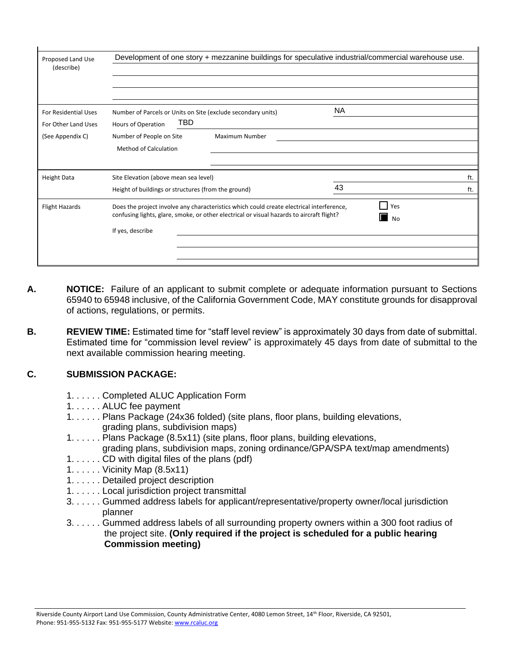| Proposed Land Use<br>(describe)                    |                                                                                                                                                                                                                                      | Development of one story + mezzanine buildings for speculative industrial/commercial warehouse use. |  |  |
|----------------------------------------------------|--------------------------------------------------------------------------------------------------------------------------------------------------------------------------------------------------------------------------------------|-----------------------------------------------------------------------------------------------------|--|--|
| <b>For Residential Uses</b><br>For Other Land Uses | Number of Parcels or Units on Site (exclude secondary units)<br>TBD.<br>Hours of Operation                                                                                                                                           | NA.                                                                                                 |  |  |
| (See Appendix C)                                   | Number of People on Site<br>Maximum Number<br>Method of Calculation                                                                                                                                                                  |                                                                                                     |  |  |
| <b>Height Data</b>                                 | Site Elevation (above mean sea level)<br>Height of buildings or structures (from the ground)                                                                                                                                         | ft.<br>43<br>ft.                                                                                    |  |  |
| <b>Flight Hazards</b>                              | <b>Yes</b><br>Does the project involve any characteristics which could create electrical interference,<br>confusing lights, glare, smoke, or other electrical or visual hazards to aircraft flight?<br><b>No</b><br>If yes, describe |                                                                                                     |  |  |

- **A. NOTICE:** Failure of an applicant to submit complete or adequate information pursuant to Sections 65940 to 65948 inclusive, of the California Government Code, MAY constitute grounds for disapproval of actions, regulations, or permits.
- **B. REVIEW TIME:** Estimated time for "staff level review" is approximately 30 days from date of submittal. Estimated time for "commission level review" is approximately 45 days from date of submittal to the next available commission hearing meeting.

#### **C. SUBMISSION PACKAGE:**

- 1. . . . . . Completed ALUC Application Form
- 1. . . . . . ALUC fee payment
- 1. . . . . . Plans Package (24x36 folded) (site plans, floor plans, building elevations, grading plans, subdivision maps)
- 1. . . . . . Plans Package (8.5x11) (site plans, floor plans, building elevations,
- grading plans, subdivision maps, zoning ordinance/GPA/SPA text/map amendments) 1. . . . . . CD with digital files of the plans (pdf)
- 1. . . . . . Vicinity Map (8.5x11)
- 1. . . . . . Detailed project description
- 1. . . . . . Local jurisdiction project transmittal
- 3. . . . . . Gummed address labels for applicant/representative/property owner/local jurisdiction planner
- 3. . . . . . Gummed address labels of all surrounding property owners within a 300 foot radius of the project site. **(Only required if the project is scheduled for a public hearing Commission meeting)**